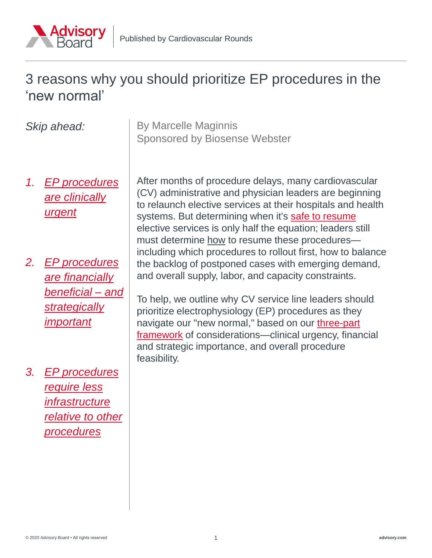

### 3 reasons why you should prioritize EP procedures in the 'new normal'

| Skip ahead:     |                                                                                                                | <b>By Marcelle Maginnis</b><br><b>Sponsored by Biosense Webster</b>                                                                                                                                                                                                                                                                                                                                                                                                                                                                                                                                                                                                                                                                                                                                                                       |
|-----------------|----------------------------------------------------------------------------------------------------------------|-------------------------------------------------------------------------------------------------------------------------------------------------------------------------------------------------------------------------------------------------------------------------------------------------------------------------------------------------------------------------------------------------------------------------------------------------------------------------------------------------------------------------------------------------------------------------------------------------------------------------------------------------------------------------------------------------------------------------------------------------------------------------------------------------------------------------------------------|
| $\mathcal{1}$ . | <b>EP</b> procedures<br>are clinically<br><u>urgent</u>                                                        | After months of procedure delays, many cardiovascular<br>(CV) administrative and physician leaders are beginning<br>to relaunch elective services at their hospitals and health<br>systems. But determining when it's safe to resume<br>elective services is only half the equation; leaders still<br>must determine how to resume these procedures-<br>including which procedures to rollout first, how to balance<br>the backlog of postponed cases with emerging demand,<br>and overall supply, labor, and capacity constraints.<br>To help, we outline why CV service line leaders should<br>prioritize electrophysiology (EP) procedures as they<br>navigate our "new normal," based on our three-part<br>framework of considerations—clinical urgency, financial<br>and strategic importance, and overall procedure<br>feasibility. |
| 2.              | <b>EP</b> procedures<br><u>are financially</u><br><u>beneficial – and</u><br>strategically<br><u>important</u> |                                                                                                                                                                                                                                                                                                                                                                                                                                                                                                                                                                                                                                                                                                                                                                                                                                           |
| 3.              | <b>EP</b> procedures<br>require less<br><i>infrastructure</i><br>relative to other<br><u>procedures</u>        |                                                                                                                                                                                                                                                                                                                                                                                                                                                                                                                                                                                                                                                                                                                                                                                                                                           |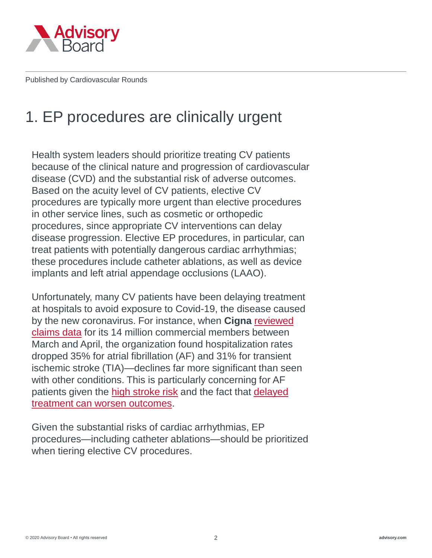<span id="page-1-0"></span>

# 1. EP procedures are clinically urgent

Health system leaders should prioritize treating CV patients because of the clinical nature and progression of cardiovascular disease (CVD) and the substantial risk of adverse outcomes. Based on the acuity level of CV patients, elective CV procedures are typically more urgent than elective procedures in other service lines, such as cosmetic or orthopedic procedures, since appropriate CV interventions can delay disease progression. Elective EP procedures, in particular, can treat patients with potentially dangerous cardiac arrhythmias; these procedures include catheter ablations, as well as device implants and left atrial appendage occlusions (LAAO).

Unfortunately, many CV patients have been delaying treatment at hospitals to avoid exposure to Covid-19, the disease caused by the new coronavirus. For instance, when **Cigna** reviewed claims data [for its 14 million commercial members between](https://www.cigna.com/about-us/newsroom/studies-and-reports/deferring-care-during-covid-19)  March and April, the organization found hospitalization rates dropped 35% for atrial fibrillation (AF) and 31% for transient ischemic stroke (TIA)—declines far more significant than seen with other conditions. This is particularly concerning for AF patients given the [high stroke risk](https://www.ahajournals.org/doi/10.1161/CIR.0000000000000757) and the fact that delayed [treatment can worsen outcomes.](https://www.heartrhythmjournal.com/article/S1547-5271(13)00551-1/pdf)

Given the substantial risks of cardiac arrhythmias, EP procedures—including catheter ablations—should be prioritized when tiering elective CV procedures.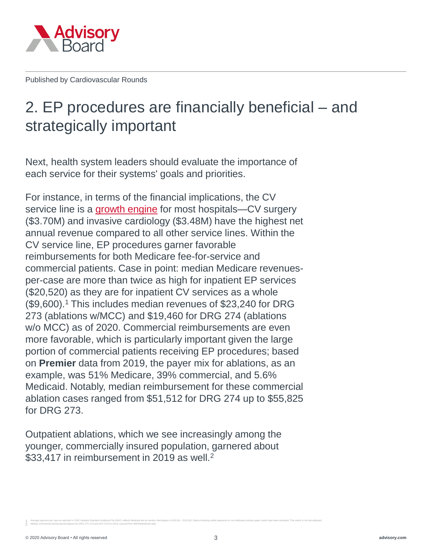<span id="page-2-0"></span>

# 2. EP procedures are financially beneficial – and strategically important

Next, health system leaders should evaluate the importance of each service for their systems' goals and priorities.

For instance, in terms of the financial implications, the CV service line is a [growth engine](https://www.merritthawkins.com/uploadedFiles/MerrittHawkins_RevenueSurvey_2019.pdf) for most hospitals—CV surgery (\$3.70M) and invasive cardiology (\$3.48M) have the highest net annual revenue compared to all other service lines. Within the CV service line, EP procedures garner favorable reimbursements for both Medicare fee-for-service and commercial patients. Case in point: median Medicare revenuesper-case are more than twice as high for inpatient EP services (\$20,520) as they are for inpatient CV services as a whole (\$9,600).<sup>1</sup> This includes median revenues of \$23,240 for DRG 273 (ablations w/MCC) and \$19,460 for DRG 274 (ablations w/o MCC) as of 2020. Commercial reimbursements are even more favorable, which is particularly important given the large portion of commercial patients receiving EP procedures; based on **Premier** data from 2019, the payer mix for ablations, as an example, was 51% Medicare, 39% commercial, and 5.6% Medicaid. Notably, median reimbursement for these commercial ablation cases ranged from \$51,512 for DRG 274 up to \$55,825 for DRG 273.

Outpatient ablations, which we see increasingly among the younger, commercially insured population, garnered about \$33,417 in reimbursement in 2019 as well.<sup>2</sup>

1. Average payment per case as reported in CMS' Inpatient Standard Analytical File (SAF); reflects Medicare fee-for-service discharges in 2018 Q4 - 2019 Q3. Claims involving outlier payments or non-Medicare primary payer c 2. Median commercial reimbursement figures for DRG 273, 274 and APC 5213 in 2019, sourced from IBM MarketScan data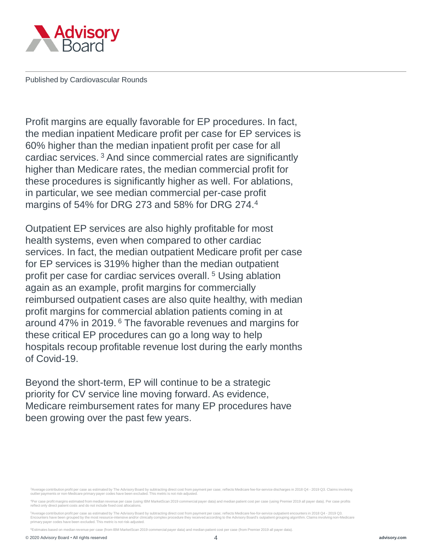

Profit margins are equally favorable for EP procedures. In fact, the median inpatient Medicare profit per case for EP services is 60% higher than the median inpatient profit per case for all cardiac services. <sup>3</sup> And since commercial rates are significantly higher than Medicare rates, the median commercial profit for these procedures is significantly higher as well. For ablations, in particular, we see median commercial per-case profit margins of 54% for DRG 273 and 58% for DRG 274.<sup>4</sup>

Outpatient EP services are also highly profitable for most health systems, even when compared to other cardiac services. In fact, the median outpatient Medicare profit per case for EP services is 319% higher than the median outpatient profit per case for cardiac services overall. <sup>5</sup> Using ablation again as an example, profit margins for commercially reimbursed outpatient cases are also quite healthy, with median profit margins for commercial ablation patients coming in at around 47% in 2019. <sup>6</sup> The favorable revenues and margins for these critical EP procedures can go a long way to help hospitals recoup profitable revenue lost during the early months of Covid-19.

Beyond the short-term, EP will continue to be a strategic priority for CV service line moving forward. As evidence, Medicare reimbursement rates for many EP procedures have been growing over the past few years.

age contribution profit per case as estimated by The Advisory Board by subtracting direct cost from payment per case; reflects Medicare fee-for-service discharges in 2018 Q4 - 2019 Q3. Claims involving outlier payments or non-Medicare primary payer codes have been excluded. This metric is not risk-adjusted.

<sup>4</sup>Per case profit margins estimated from median revenue per case (using IBM MarketScan 2019 commercial payer data) and median patient cost per case (using Premier 2019 all payer data). Per case profits reflect only direct patient costs and do not include fixed cost allocations.

<sup>5</sup>Average contribution profit per case as estimated by The Advisory Board by subtracting direct cost from payment per case; reflects Medicare fee-for-service outpatient encounters in 2018 Q4 - 2019 Q3.<br>Encounters have been primary payer codes have been excluded. This metric is not risk-adjusted.

<sup>6</sup>Estimates based on median revenue per case (from IBM MarketScan 2019 commercial payer data) and median patient cost per case (from Premier 2019 all payer data).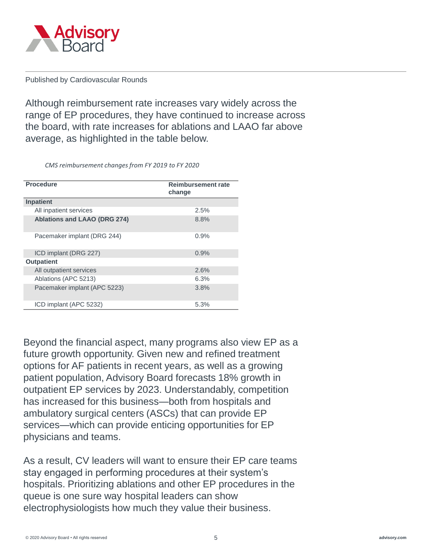

Although reimbursement rate increases vary widely across the range of EP procedures, they have continued to increase across the board, with rate increases for ablations and LAAO far above average, as highlighted in the table below.

*CMS reimbursement changes from FY 2019 to FY 2020*

| <b>Procedure</b>                    | <b>Reimbursement rate</b><br>change |  |
|-------------------------------------|-------------------------------------|--|
| <b>Inpatient</b>                    |                                     |  |
| All inpatient services              | 2.5%                                |  |
| <b>Ablations and LAAO (DRG 274)</b> | 8.8%                                |  |
| Pacemaker implant (DRG 244)         | 0.9%                                |  |
| ICD implant (DRG 227)               | 0.9%                                |  |
| <b>Outpatient</b>                   |                                     |  |
| All outpatient services             | 2.6%                                |  |
| Ablations (APC 5213)                | 6.3%                                |  |
| Pacemaker implant (APC 5223)        | 3.8%                                |  |
| ICD implant (APC 5232)              | 5.3%                                |  |

Beyond the financial aspect, many programs also view EP as a future growth opportunity. Given new and refined treatment options for AF patients in recent years, as well as a growing patient population, Advisory Board forecasts 18% growth in outpatient EP services by 2023. Understandably, competition has increased for this business—both from hospitals and ambulatory surgical centers (ASCs) that can provide EP services—which can provide enticing opportunities for EP physicians and teams.

As a result, CV leaders will want to ensure their EP care teams stay engaged in performing procedures at their system's hospitals. Prioritizing ablations and other EP procedures in the queue is one sure way hospital leaders can show electrophysiologists how much they value their business.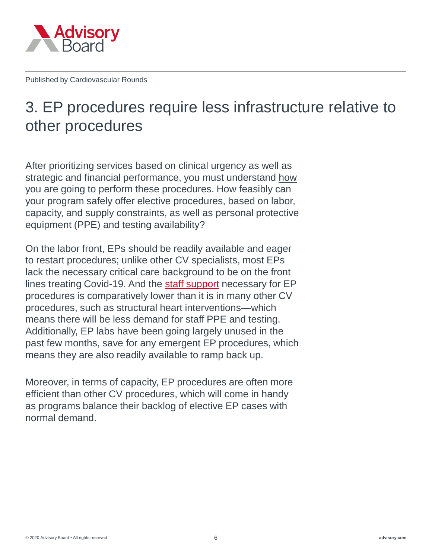<span id="page-5-0"></span>

# 3. EP procedures require less infrastructure relative to other procedures

After prioritizing services based on clinical urgency as well as strategic and financial performance, you must understand how you are going to perform these procedures. How feasibly can your program safely offer elective procedures, based on labor, capacity, and supply constraints, as well as personal protective equipment (PPE) and testing availability?

On the labor front, EPs should be readily available and eager to restart procedures; unlike other CV specialists, most EPs lack the necessary critical care background to be on the front lines treating Covid-19. And the [staff support](https://www.hrsonline.org/hrs-expert-consensus-statement-electrophysiology-ep-lab-standards-process-protocols-equipment) necessary for EP procedures is comparatively lower than it is in many other CV procedures, such as structural heart interventions—which means there will be less demand for staff PPE and testing. Additionally, EP labs have been going largely unused in the past few months, save for any emergent EP procedures, which means they are also readily available to ramp back up.

Moreover, in terms of capacity, EP procedures are often more efficient than other CV procedures, which will come in handy as programs balance their backlog of elective EP cases with normal demand.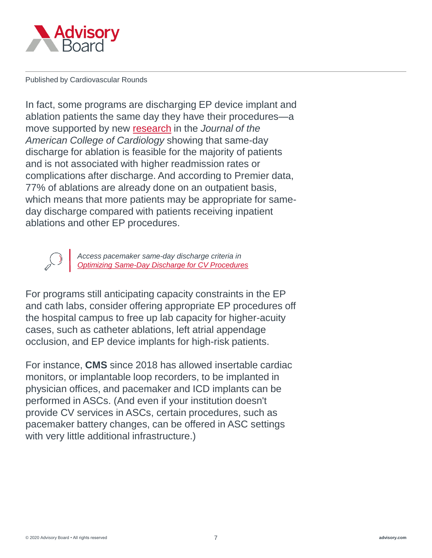

In fact, some programs are discharging EP device implant and ablation patients the same day they have their procedures—a move supported by new [research](http://electrophysiology.onlinejacc.org/content/early/2020/04/27/j.jacep.2020.02.009) in the *Journal of the American College of Cardiology* showing that same-day discharge for ablation is feasible for the majority of patients and is not associated with higher readmission rates or complications after discharge. And according to Premier data, 77% of ablations are already done on an outpatient basis, which means that more patients may be appropriate for sameday discharge compared with patients receiving inpatient ablations and other EP procedures.

> *Access pacemaker same-day discharge criteria in [Optimizing Same-Day Discharge for CV Procedures](https://www.advisory.com/research/cardiovascular-roundtable/white-papers/2017/optimizing-same-day-discharge-for-cv-procedures)*

For programs still anticipating capacity constraints in the EP and cath labs, consider offering appropriate EP procedures off the hospital campus to free up lab capacity for higher-acuity cases, such as catheter ablations, left atrial appendage occlusion, and EP device implants for high-risk patients.

For instance, **CMS** since 2018 has allowed insertable cardiac monitors, or implantable loop recorders, to be implanted in physician offices, and pacemaker and ICD implants can be performed in ASCs. (And even if your institution doesn't provide CV services in ASCs, certain procedures, such as pacemaker battery changes, can be offered in ASC settings with very little additional infrastructure.)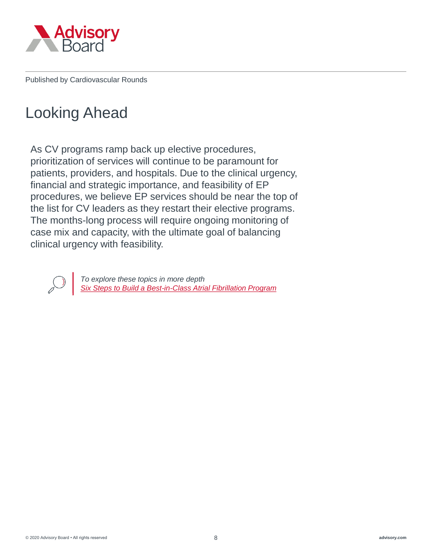

# Looking Ahead

As CV programs ramp back up elective procedures, prioritization of services will continue to be paramount for patients, providers, and hospitals. Due to the clinical urgency, financial and strategic importance, and feasibility of EP procedures, we believe EP services should be near the top of the list for CV leaders as they restart their elective programs. The months-long process will require ongoing monitoring of case mix and capacity, with the ultimate goal of balancing clinical urgency with feasibility.



*To explore these topics in more depth [Six Steps to Build a Best-in-Class Atrial Fibrillation Program](https://www.advisory.com/Research/Cardiovascular-Roundtable/Research-Reports/2018/Six-Steps-to-Build-a-Best-in-Class-AF-Program)*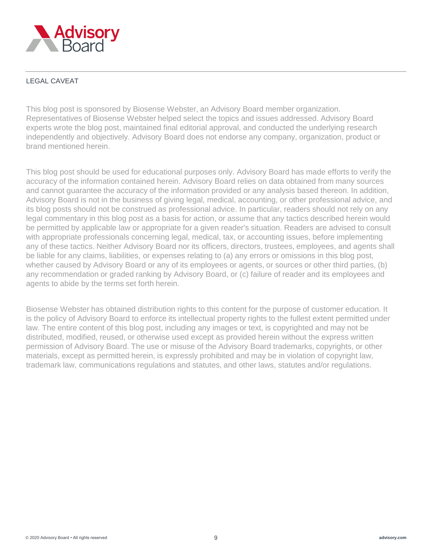

#### LEGAL CAVEAT

This blog post is sponsored by Biosense Webster, an Advisory Board member organization. Representatives of Biosense Webster helped select the topics and issues addressed. Advisory Board experts wrote the blog post, maintained final editorial approval, and conducted the underlying research independently and objectively. Advisory Board does not endorse any company, organization, product or brand mentioned herein.

This blog post should be used for educational purposes only. Advisory Board has made efforts to verify the accuracy of the information contained herein. Advisory Board relies on data obtained from many sources and cannot guarantee the accuracy of the information provided or any analysis based thereon. In addition, Advisory Board is not in the business of giving legal, medical, accounting, or other professional advice, and its blog posts should not be construed as professional advice. In particular, readers should not rely on any legal commentary in this blog post as a basis for action, or assume that any tactics described herein would be permitted by applicable law or appropriate for a given reader's situation. Readers are advised to consult with appropriate professionals concerning legal, medical, tax, or accounting issues, before implementing any of these tactics. Neither Advisory Board nor its officers, directors, trustees, employees, and agents shall be liable for any claims, liabilities, or expenses relating to (a) any errors or omissions in this blog post, whether caused by Advisory Board or any of its employees or agents, or sources or other third parties, (b) any recommendation or graded ranking by Advisory Board, or (c) failure of reader and its employees and agents to abide by the terms set forth herein.

Biosense Webster has obtained distribution rights to this content for the purpose of customer education. It is the policy of Advisory Board to enforce its intellectual property rights to the fullest extent permitted under law. The entire content of this blog post, including any images or text, is copyrighted and may not be distributed, modified, reused, or otherwise used except as provided herein without the express written permission of Advisory Board. The use or misuse of the Advisory Board trademarks, copyrights, or other materials, except as permitted herein, is expressly prohibited and may be in violation of copyright law, trademark law, communications regulations and statutes, and other laws, statutes and/or regulations.